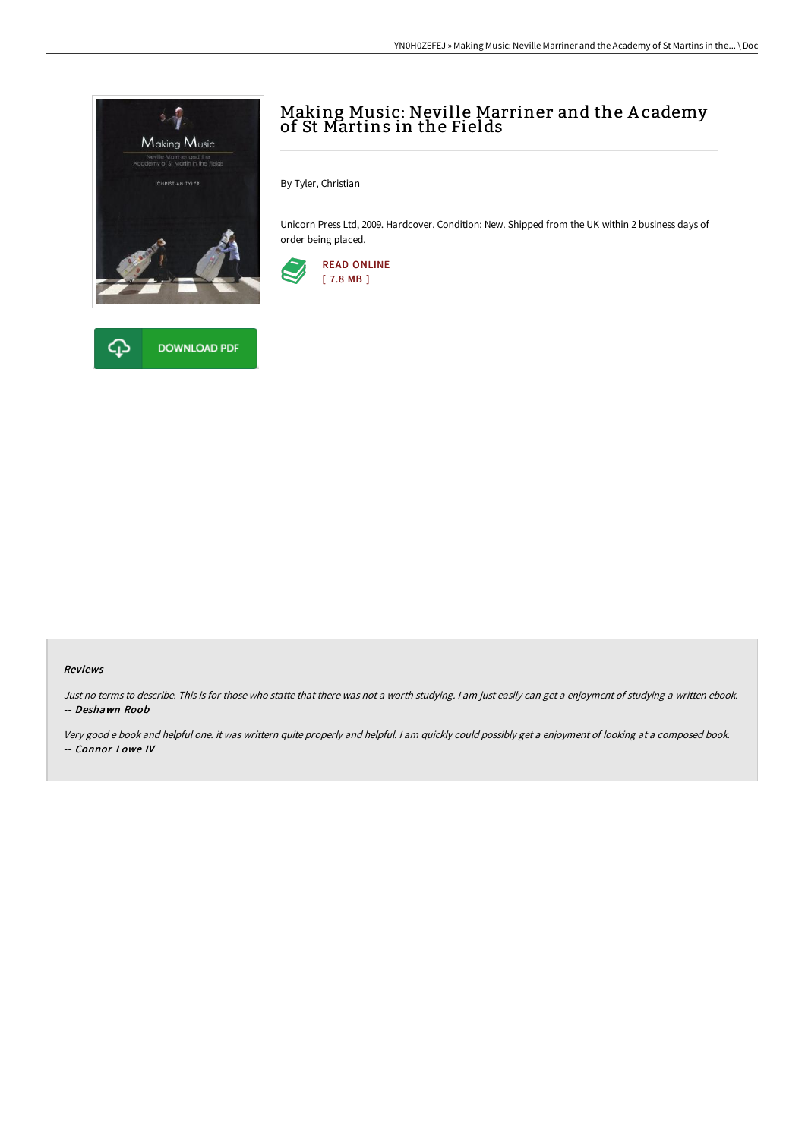

# Making Music: Neville Marriner and the A cademy of St Martins in the Fields

By Tyler, Christian

Unicorn Press Ltd, 2009. Hardcover. Condition: New. Shipped from the UK within 2 business days of order being placed.





#### Reviews

Just no terms to describe. This is for those who statte that there was not <sup>a</sup> worth studying. <sup>I</sup> am just easily can get <sup>a</sup> enjoyment of studying <sup>a</sup> written ebook. -- Deshawn Roob

Very good <sup>e</sup> book and helpful one. it was writtern quite properly and helpful. <sup>I</sup> am quickly could possibly get <sup>a</sup> enjoyment of looking at <sup>a</sup> composed book. -- Connor Lowe IV